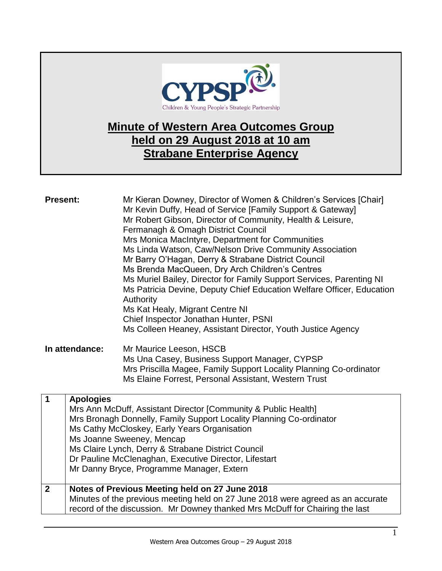

## **Minute of Western Area Outcomes Group held on 29 August 2018 at 10 am Strabane Enterprise Agency**

| <b>Present:</b>         |                  | Mr Kieran Downey, Director of Women & Children's Services [Chair]<br>Mr Kevin Duffy, Head of Service [Family Support & Gateway]<br>Mr Robert Gibson, Director of Community, Health & Leisure,<br>Fermanagh & Omagh District Council<br>Mrs Monica MacIntyre, Department for Communities<br>Ms Linda Watson, Caw/Nelson Drive Community Association<br>Mr Barry O'Hagan, Derry & Strabane District Council<br>Ms Brenda MacQueen, Dry Arch Children's Centres<br>Ms Muriel Bailey, Director for Family Support Services, Parenting NI<br>Ms Patricia Devine, Deputy Chief Education Welfare Officer, Education<br>Authority<br>Ms Kat Healy, Migrant Centre NI<br>Chief Inspector Jonathan Hunter, PSNI<br>Ms Colleen Heaney, Assistant Director, Youth Justice Agency |
|-------------------------|------------------|-----------------------------------------------------------------------------------------------------------------------------------------------------------------------------------------------------------------------------------------------------------------------------------------------------------------------------------------------------------------------------------------------------------------------------------------------------------------------------------------------------------------------------------------------------------------------------------------------------------------------------------------------------------------------------------------------------------------------------------------------------------------------|
|                         | In attendance:   | Mr Maurice Leeson, HSCB                                                                                                                                                                                                                                                                                                                                                                                                                                                                                                                                                                                                                                                                                                                                               |
|                         |                  | Ms Una Casey, Business Support Manager, CYPSP                                                                                                                                                                                                                                                                                                                                                                                                                                                                                                                                                                                                                                                                                                                         |
|                         |                  | Mrs Priscilla Magee, Family Support Locality Planning Co-ordinator<br>Ms Elaine Forrest, Personal Assistant, Western Trust                                                                                                                                                                                                                                                                                                                                                                                                                                                                                                                                                                                                                                            |
|                         |                  |                                                                                                                                                                                                                                                                                                                                                                                                                                                                                                                                                                                                                                                                                                                                                                       |
| $\overline{\mathbf{1}}$ | <b>Apologies</b> |                                                                                                                                                                                                                                                                                                                                                                                                                                                                                                                                                                                                                                                                                                                                                                       |
|                         |                  | Mrs Ann McDuff, Assistant Director [Community & Public Health]<br>Mrs Bronagh Donnelly, Family Support Locality Planning Co-ordinator                                                                                                                                                                                                                                                                                                                                                                                                                                                                                                                                                                                                                                 |
|                         |                  | Ms Cathy McCloskey, Early Years Organisation                                                                                                                                                                                                                                                                                                                                                                                                                                                                                                                                                                                                                                                                                                                          |
|                         |                  | Ms Joanne Sweeney, Mencap                                                                                                                                                                                                                                                                                                                                                                                                                                                                                                                                                                                                                                                                                                                                             |
|                         |                  | Ms Claire Lynch, Derry & Strabane District Council                                                                                                                                                                                                                                                                                                                                                                                                                                                                                                                                                                                                                                                                                                                    |
|                         |                  | Dr Pauline McClenaghan, Executive Director, Lifestart                                                                                                                                                                                                                                                                                                                                                                                                                                                                                                                                                                                                                                                                                                                 |
|                         |                  | Mr Danny Bryce, Programme Manager, Extern                                                                                                                                                                                                                                                                                                                                                                                                                                                                                                                                                                                                                                                                                                                             |
| $\overline{2}$          |                  | Notes of Previous Meeting held on 27 June 2018                                                                                                                                                                                                                                                                                                                                                                                                                                                                                                                                                                                                                                                                                                                        |
|                         |                  | Minutes of the previous meeting held on 27 June 2018 were agreed as an accurate                                                                                                                                                                                                                                                                                                                                                                                                                                                                                                                                                                                                                                                                                       |
|                         |                  | record of the discussion. Mr Downey thanked Mrs McDuff for Chairing the last                                                                                                                                                                                                                                                                                                                                                                                                                                                                                                                                                                                                                                                                                          |
|                         |                  |                                                                                                                                                                                                                                                                                                                                                                                                                                                                                                                                                                                                                                                                                                                                                                       |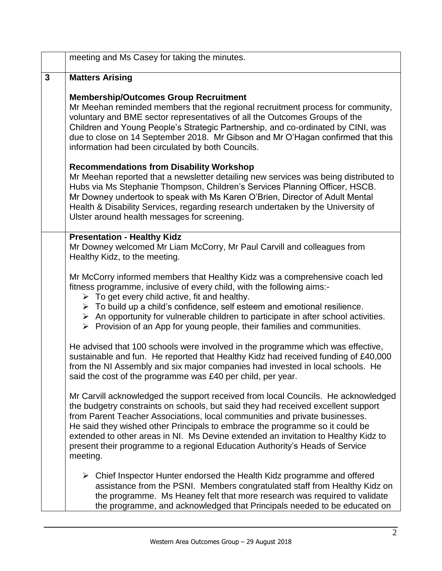|              | meeting and Ms Casey for taking the minutes.                                                                                                                                                                                                                                                                                                                                                                                                                                                                            |
|--------------|-------------------------------------------------------------------------------------------------------------------------------------------------------------------------------------------------------------------------------------------------------------------------------------------------------------------------------------------------------------------------------------------------------------------------------------------------------------------------------------------------------------------------|
| $\mathbf{3}$ | <b>Matters Arising</b>                                                                                                                                                                                                                                                                                                                                                                                                                                                                                                  |
|              | <b>Membership/Outcomes Group Recruitment</b><br>Mr Meehan reminded members that the regional recruitment process for community,<br>voluntary and BME sector representatives of all the Outcomes Groups of the<br>Children and Young People's Strategic Partnership, and co-ordinated by CINI, was<br>due to close on 14 September 2018. Mr Gibson and Mr O'Hagan confirmed that this<br>information had been circulated by both Councils.                                                                               |
|              | <b>Recommendations from Disability Workshop</b><br>Mr Meehan reported that a newsletter detailing new services was being distributed to<br>Hubs via Ms Stephanie Thompson, Children's Services Planning Officer, HSCB.<br>Mr Downey undertook to speak with Ms Karen O'Brien, Director of Adult Mental<br>Health & Disability Services, regarding research undertaken by the University of<br>Ulster around health messages for screening.                                                                              |
|              | <b>Presentation - Healthy Kidz</b><br>Mr Downey welcomed Mr Liam McCorry, Mr Paul Carvill and colleagues from<br>Healthy Kidz, to the meeting.                                                                                                                                                                                                                                                                                                                                                                          |
|              | Mr McCorry informed members that Healthy Kidz was a comprehensive coach led<br>fitness programme, inclusive of every child, with the following aims:-<br>$\triangleright$ To get every child active, fit and healthy.<br>$\triangleright$ To build up a child's confidence, self esteem and emotional resilience.<br>$\triangleright$ An opportunity for vulnerable children to participate in after school activities.<br>$\triangleright$ Provision of an App for young people, their families and communities.       |
|              | He advised that 100 schools were involved in the programme which was effective,<br>sustainable and fun. He reported that Healthy Kidz had received funding of £40,000<br>from the NI Assembly and six major companies had invested in local schools. He<br>said the cost of the programme was £40 per child, per year.                                                                                                                                                                                                  |
|              | Mr Carvill acknowledged the support received from local Councils. He acknowledged<br>the budgetry constraints on schools, but said they had received excellent support<br>from Parent Teacher Associations, local communities and private businesses.<br>He said they wished other Principals to embrace the programme so it could be<br>extended to other areas in NI. Ms Devine extended an invitation to Healthy Kidz to<br>present their programme to a regional Education Authority's Heads of Service<br>meeting. |
|              | $\triangleright$ Chief Inspector Hunter endorsed the Health Kidz programme and offered<br>assistance from the PSNI. Members congratulated staff from Healthy Kidz on<br>the programme. Ms Heaney felt that more research was required to validate<br>the programme, and acknowledged that Principals needed to be educated on                                                                                                                                                                                           |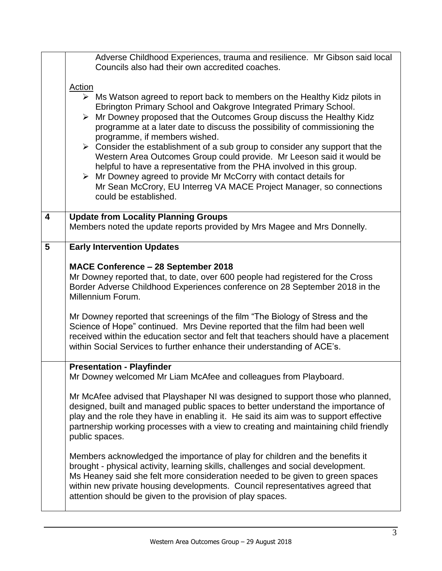|                         | Adverse Childhood Experiences, trauma and resilience. Mr Gibson said local<br>Councils also had their own accredited coaches.                                                                                                                                                                                                                                                                                                                                                                                                                                                                                                                                                                                                                                                                                                                                                    |
|-------------------------|----------------------------------------------------------------------------------------------------------------------------------------------------------------------------------------------------------------------------------------------------------------------------------------------------------------------------------------------------------------------------------------------------------------------------------------------------------------------------------------------------------------------------------------------------------------------------------------------------------------------------------------------------------------------------------------------------------------------------------------------------------------------------------------------------------------------------------------------------------------------------------|
|                         | <b>Action</b><br>$\triangleright$ Ms Watson agreed to report back to members on the Healthy Kidz pilots in<br>Ebrington Primary School and Oakgrove Integrated Primary School.<br>> Mr Downey proposed that the Outcomes Group discuss the Healthy Kidz<br>programme at a later date to discuss the possibility of commissioning the<br>programme, if members wished.<br>$\triangleright$ Consider the establishment of a sub group to consider any support that the<br>Western Area Outcomes Group could provide. Mr Leeson said it would be<br>helpful to have a representative from the PHA involved in this group.<br>$\triangleright$ Mr Downey agreed to provide Mr McCorry with contact details for<br>Mr Sean McCrory, EU Interreg VA MACE Project Manager, so connections<br>could be established.                                                                      |
| $\overline{\mathbf{4}}$ | <b>Update from Locality Planning Groups</b><br>Members noted the update reports provided by Mrs Magee and Mrs Donnelly.                                                                                                                                                                                                                                                                                                                                                                                                                                                                                                                                                                                                                                                                                                                                                          |
| 5                       | <b>Early Intervention Updates</b><br>MACE Conference - 28 September 2018<br>Mr Downey reported that, to date, over 600 people had registered for the Cross<br>Border Adverse Childhood Experiences conference on 28 September 2018 in the<br>Millennium Forum.<br>Mr Downey reported that screenings of the film "The Biology of Stress and the<br>Science of Hope" continued. Mrs Devine reported that the film had been well<br>received within the education sector and felt that teachers should have a placement<br>within Social Services to further enhance their understanding of ACE's.                                                                                                                                                                                                                                                                                 |
|                         | <b>Presentation - Playfinder</b><br>Mr Downey welcomed Mr Liam McAfee and colleagues from Playboard.<br>Mr McAfee advised that Playshaper NI was designed to support those who planned,<br>designed, built and managed public spaces to better understand the importance of<br>play and the role they have in enabling it. He said its aim was to support effective<br>partnership working processes with a view to creating and maintaining child friendly<br>public spaces.<br>Members acknowledged the importance of play for children and the benefits it<br>brought - physical activity, learning skills, challenges and social development.<br>Ms Heaney said she felt more consideration needed to be given to green spaces<br>within new private housing developments. Council representatives agreed that<br>attention should be given to the provision of play spaces. |